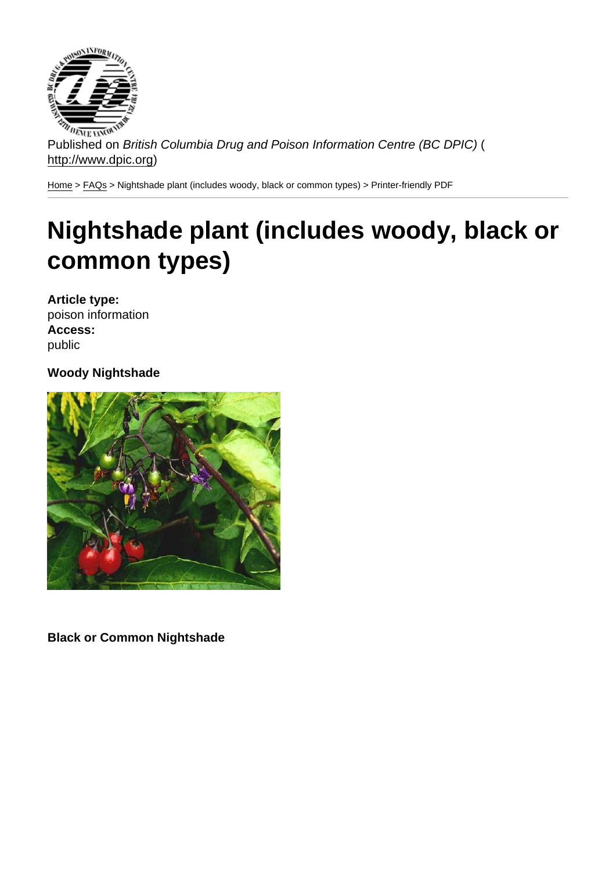Published on British Columbia Drug and Poison Information Centre (BC DPIC) ( http://www.dpic.org)

Home > FAQs > Nightshade plant (includes woody, black or common types) > Printer-friendly PDF

# [Ni](http://www.dpic.org/)[ghts](http://www.dpic.org/faq)hade plant (includes woody, black or common types)

Article type: poison information Access: public

Woody Nightshade

Black or Common Nightshade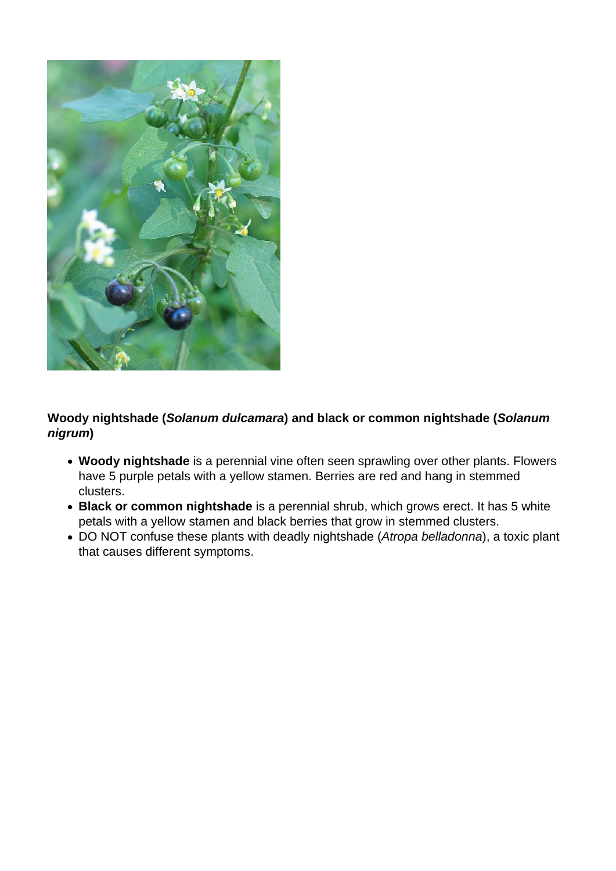

## **Woody nightshade (Solanum dulcamara) and black or common nightshade (Solanum nigrum)**

- **Woody nightshade** is a perennial vine often seen sprawling over other plants. Flowers have 5 purple petals with a yellow stamen. Berries are red and hang in stemmed clusters.
- **Black or common nightshade** is a perennial shrub, which grows erect. It has 5 white petals with a yellow stamen and black berries that grow in stemmed clusters.
- DO NOT confuse these plants with deadly nightshade (Atropa belladonna), a toxic plant that causes different symptoms.